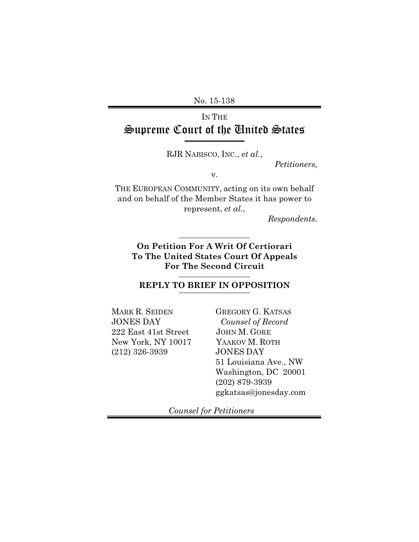No. 15-138

## IN THE Supreme Court of the United States

RJR NABISCO, INC., *et al.*,

*Petitioners,*

v.

THE EUROPEAN COMMUNITY, acting on its own behalf and on behalf of the Member States it has power to represent, *et al.*,

*Respondents.*

### **On Petition For A Writ Of Certiorari To The United States Court Of Appeals For The Second Circuit**

**REPLY TO BRIEF IN OPPOSITION**

MARK R. SEIDEN JONES DAY 222 East 41st Street New York, NY 10017 (212) 326-3939

GREGORY G. KATSAS *Counsel of Record*  JOHN M. GORE YAAKOV M. ROTH JONES DAY 51 Louisiana Ave., NW Washington, DC 20001 (202) 879-3939 ggkatsas@jonesday.com

 *Counsel for Petitioners*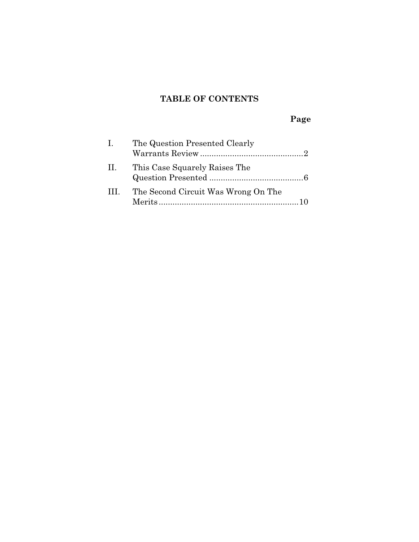## **TABLE OF CONTENTS**

# **Page**

| $\mathbf{L}$ | The Question Presented Clearly      |
|--------------|-------------------------------------|
| П.           | This Case Squarely Raises The       |
| $\mathbf{H}$ | The Second Circuit Was Wrong On The |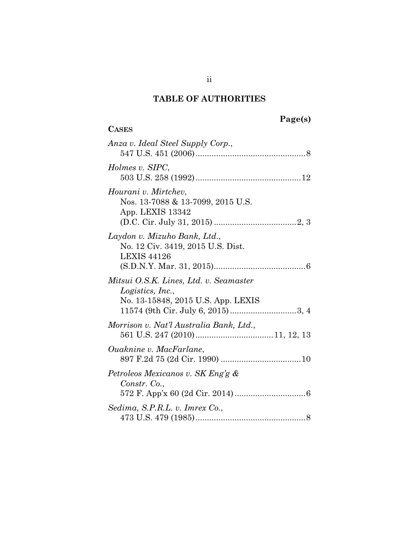## **TABLE OF AUTHORITIES**

**CASES**

# **Page(s)**

| Anza v. Ideal Steel Supply Corp.,                                                                                                      |
|----------------------------------------------------------------------------------------------------------------------------------------|
| Holmes v. SIPC,                                                                                                                        |
| Hourani v. Mirtchev,<br>Nos. 13-7088 & 13-7099, 2015 U.S.<br>App. LEXIS 13342                                                          |
| Laydon v. Mizuho Bank, Ltd.,<br>No. 12 Civ. 3419, 2015 U.S. Dist.<br><b>LEXIS 44126</b>                                                |
| Mitsui O.S.K. Lines, Ltd. v. Seamaster<br>Logistics, Inc.,<br>No. 13-15848, 2015 U.S. App. LEXIS<br>11574 (9th Cir. July 6, 2015) 3, 4 |
| Morrison v. Nat'l Australia Bank, Ltd.,                                                                                                |
| <i>Ouaknine v. MacFarlane,</i>                                                                                                         |
| Petroleos Mexicanos v. SK Eng'g &<br>Constr. Co.,                                                                                      |
| Sedima, S.P.R.L. v. Imrex Co.,                                                                                                         |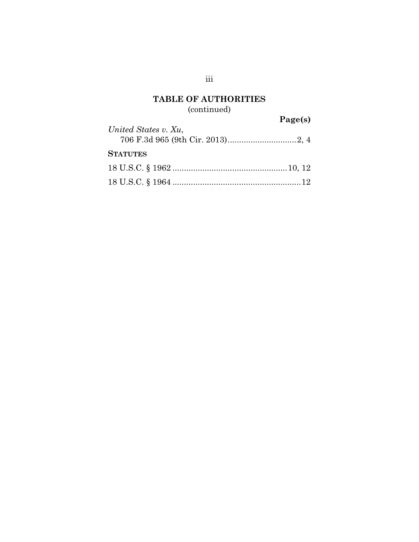### **TABLE OF AUTHORITIES**  (continued)

**Page(s)** 

| United States v. Xu, | $ \mathbf{u}$ $\mathbf{v}$ |
|----------------------|----------------------------|
| <b>STATUTES</b>      |                            |
|                      |                            |
|                      |                            |

iii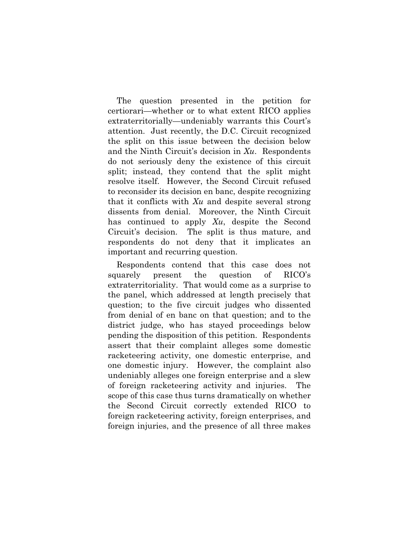The question presented in the petition for certiorari—whether or to what extent RICO applies extraterritorially—undeniably warrants this Court's attention. Just recently, the D.C. Circuit recognized the split on this issue between the decision below and the Ninth Circuit's decision in *Xu*. Respondents do not seriously deny the existence of this circuit split; instead, they contend that the split might resolve itself. However, the Second Circuit refused to reconsider its decision en banc, despite recognizing that it conflicts with *Xu* and despite several strong dissents from denial. Moreover, the Ninth Circuit has continued to apply *Xu*, despite the Second Circuit's decision. The split is thus mature, and respondents do not deny that it implicates an important and recurring question.

Respondents contend that this case does not squarely present the question of RICO's extraterritoriality. That would come as a surprise to the panel, which addressed at length precisely that question; to the five circuit judges who dissented from denial of en banc on that question; and to the district judge, who has stayed proceedings below pending the disposition of this petition. Respondents assert that their complaint alleges some domestic racketeering activity, one domestic enterprise, and one domestic injury. However, the complaint also undeniably alleges one foreign enterprise and a slew of foreign racketeering activity and injuries. The scope of this case thus turns dramatically on whether the Second Circuit correctly extended RICO to foreign racketeering activity, foreign enterprises, and foreign injuries, and the presence of all three makes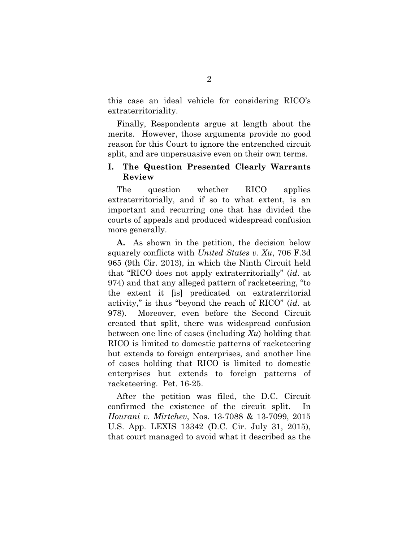this case an ideal vehicle for considering RICO's extraterritoriality.

Finally, Respondents argue at length about the merits. However, those arguments provide no good reason for this Court to ignore the entrenched circuit split, and are unpersuasive even on their own terms.

#### **I. The Question Presented Clearly Warrants Review**

The question whether RICO applies extraterritorially, and if so to what extent, is an important and recurring one that has divided the courts of appeals and produced widespread confusion more generally.

**A.** As shown in the petition, the decision below squarely conflicts with *United States v. Xu*, 706 F.3d 965 (9th Cir. 2013), in which the Ninth Circuit held that "RICO does not apply extraterritorially" (*id.* at 974) and that any alleged pattern of racketeering, "to the extent it [is] predicated on extraterritorial activity," is thus "beyond the reach of RICO" (*id.* at 978). Moreover, even before the Second Circuit created that split, there was widespread confusion between one line of cases (including *Xu*) holding that RICO is limited to domestic patterns of racketeering but extends to foreign enterprises, and another line of cases holding that RICO is limited to domestic enterprises but extends to foreign patterns of racketeering. Pet. 16-25.

After the petition was filed, the D.C. Circuit confirmed the existence of the circuit split. In *Hourani v. Mirtchev*, Nos. 13-7088 & 13-7099, 2015 U.S. App. LEXIS 13342 (D.C. Cir. July 31, 2015), that court managed to avoid what it described as the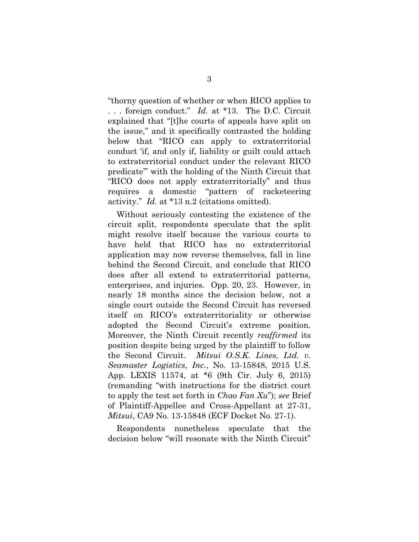"thorny question of whether or when RICO applies to . . . foreign conduct." *Id.* at \*13. The D.C. Circuit explained that "[t]he courts of appeals have split on the issue," and it specifically contrasted the holding below that "RICO can apply to extraterritorial conduct 'if, and only if, liability or guilt could attach to extraterritorial conduct under the relevant RICO predicate'" with the holding of the Ninth Circuit that "RICO does not apply extraterritorially" and thus requires a domestic "pattern of racketeering activity." *Id.* at \*13 n.2 (citations omitted).

Without seriously contesting the existence of the circuit split, respondents speculate that the split might resolve itself because the various courts to have held that RICO has no extraterritorial application may now reverse themselves, fall in line behind the Second Circuit, and conclude that RICO does after all extend to extraterritorial patterns, enterprises, and injuries. Opp. 20, 23. However, in nearly 18 months since the decision below, not a single court outside the Second Circuit has reversed itself on RICO's extraterritoriality or otherwise adopted the Second Circuit's extreme position. Moreover, the Ninth Circuit recently *reaffirmed* its position despite being urged by the plaintiff to follow the Second Circuit. *Mitsui O.S.K. Lines, Ltd. v. Seamaster Logistics, Inc.*, No. 13-15848, 2015 U.S. App. LEXIS 11574, at \*6 (9th Cir. July 6, 2015) (remanding "with instructions for the district court to apply the test set forth in *Chao Fan Xu*"); *see* Brief of Plaintiff-Appellee and Cross-Appellant at 27-31, *Mitsui*, CA9 No. 13-15848 (ECF Docket No. 27-1).

Respondents nonetheless speculate that the decision below "will resonate with the Ninth Circuit"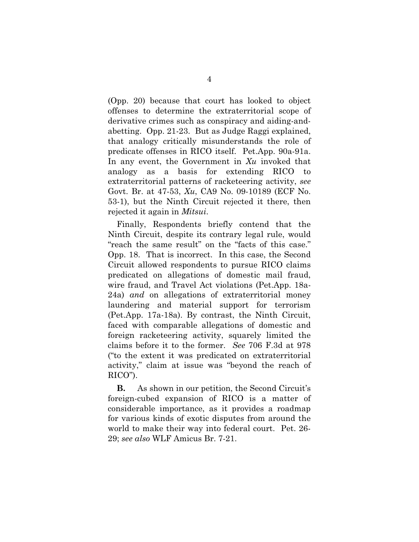(Opp. 20) because that court has looked to object offenses to determine the extraterritorial scope of derivative crimes such as conspiracy and aiding-andabetting. Opp. 21-23. But as Judge Raggi explained, that analogy critically misunderstands the role of predicate offenses in RICO itself. Pet.App. 90a-91a. In any event, the Government in *Xu* invoked that analogy as a basis for extending RICO to extraterritorial patterns of racketeering activity, *see*  Govt. Br. at 47-53, *Xu*, CA9 No. 09-10189 (ECF No. 53-1), but the Ninth Circuit rejected it there, then rejected it again in *Mitsui*.

Finally, Respondents briefly contend that the Ninth Circuit, despite its contrary legal rule, would "reach the same result" on the "facts of this case." Opp. 18. That is incorrect. In this case, the Second Circuit allowed respondents to pursue RICO claims predicated on allegations of domestic mail fraud, wire fraud, and Travel Act violations (Pet.App. 18a-24a) *and* on allegations of extraterritorial money laundering and material support for terrorism (Pet.App. 17a-18a). By contrast, the Ninth Circuit, faced with comparable allegations of domestic and foreign racketeering activity, squarely limited the claims before it to the former. *See* 706 F.3d at 978 ("to the extent it was predicated on extraterritorial activity," claim at issue was "beyond the reach of RICO").

**B.** As shown in our petition, the Second Circuit's foreign-cubed expansion of RICO is a matter of considerable importance, as it provides a roadmap for various kinds of exotic disputes from around the world to make their way into federal court. Pet. 26- 29; *see also* WLF Amicus Br. 7-21.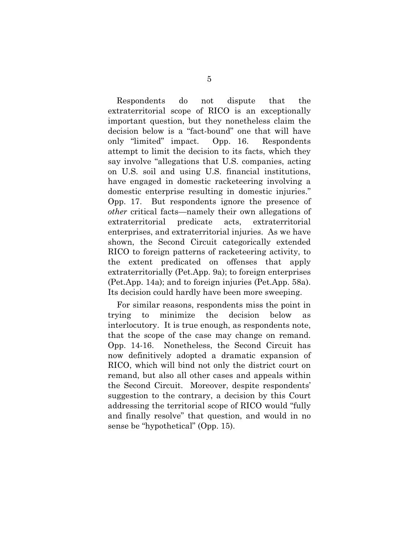Respondents do not dispute that the extraterritorial scope of RICO is an exceptionally important question, but they nonetheless claim the decision below is a "fact-bound" one that will have only "limited" impact. Opp. 16. Respondents attempt to limit the decision to its facts, which they say involve "allegations that U.S. companies, acting on U.S. soil and using U.S. financial institutions, have engaged in domestic racketeering involving a domestic enterprise resulting in domestic injuries." Opp. 17. But respondents ignore the presence of *other* critical facts—namely their own allegations of extraterritorial predicate acts, extraterritorial enterprises, and extraterritorial injuries. As we have shown, the Second Circuit categorically extended RICO to foreign patterns of racketeering activity, to the extent predicated on offenses that apply extraterritorially (Pet.App. 9a); to foreign enterprises (Pet.App. 14a); and to foreign injuries (Pet.App. 58a). Its decision could hardly have been more sweeping.

For similar reasons, respondents miss the point in trying to minimize the decision below as interlocutory. It is true enough, as respondents note, that the scope of the case may change on remand. Opp. 14-16. Nonetheless, the Second Circuit has now definitively adopted a dramatic expansion of RICO, which will bind not only the district court on remand, but also all other cases and appeals within the Second Circuit. Moreover, despite respondents' suggestion to the contrary, a decision by this Court addressing the territorial scope of RICO would "fully and finally resolve" that question, and would in no sense be "hypothetical" (Opp. 15).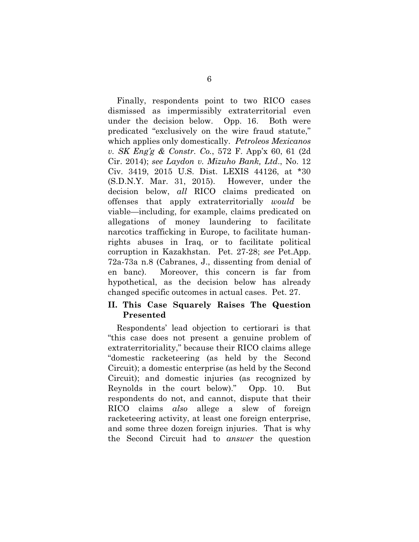Finally, respondents point to two RICO cases dismissed as impermissibly extraterritorial even under the decision below. Opp. 16. Both were predicated "exclusively on the wire fraud statute," which applies only domestically. *Petroleos Mexicanos v. SK Eng'g & Constr. Co.*, 572 F. App'x 60, 61 (2d Cir. 2014); *see Laydon v. Mizuho Bank, Ltd*., No. 12 Civ. 3419, 2015 U.S. Dist. LEXIS 44126, at \*30 (S.D.N.Y. Mar. 31, 2015). However, under the decision below, *all* RICO claims predicated on offenses that apply extraterritorially *would* be viable—including, for example, claims predicated on allegations of money laundering to facilitate narcotics trafficking in Europe, to facilitate humanrights abuses in Iraq, or to facilitate political corruption in Kazakhstan. Pet. 27-28; *see* Pet.App. 72a-73a n.8 (Cabranes, J., dissenting from denial of en banc). Moreover, this concern is far from hypothetical, as the decision below has already changed specific outcomes in actual cases. Pet. 27.

#### **II. This Case Squarely Raises The Question Presented**

Respondents' lead objection to certiorari is that "this case does not present a genuine problem of extraterritoriality," because their RICO claims allege "domestic racketeering (as held by the Second Circuit); a domestic enterprise (as held by the Second Circuit); and domestic injuries (as recognized by Reynolds in the court below)." Opp. 10. But respondents do not, and cannot, dispute that their RICO claims *also* allege a slew of foreign racketeering activity, at least one foreign enterprise, and some three dozen foreign injuries. That is why the Second Circuit had to *answer* the question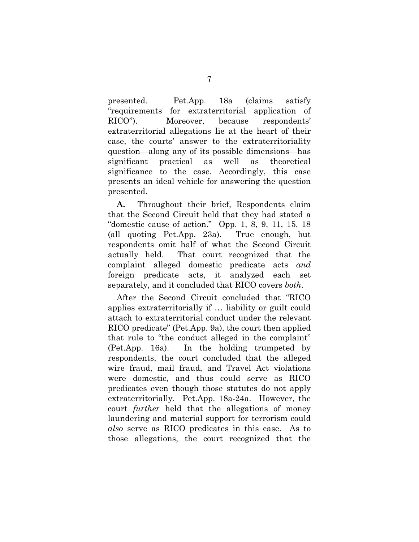presented. Pet.App. 18a (claims satisfy "requirements for extraterritorial application of RICO"). Moreover, because respondents' extraterritorial allegations lie at the heart of their case, the courts' answer to the extraterritoriality question—along any of its possible dimensions—has significant practical as well as theoretical significance to the case. Accordingly, this case presents an ideal vehicle for answering the question presented.

**A.** Throughout their brief, Respondents claim that the Second Circuit held that they had stated a "domestic cause of action." Opp. 1, 8, 9, 11, 15, 18 (all quoting Pet.App. 23a). True enough, but respondents omit half of what the Second Circuit actually held. That court recognized that the complaint alleged domestic predicate acts *and* foreign predicate acts, it analyzed each set separately, and it concluded that RICO covers *both*.

After the Second Circuit concluded that "RICO applies extraterritorially if … liability or guilt could attach to extraterritorial conduct under the relevant RICO predicate" (Pet.App. 9a), the court then applied that rule to "the conduct alleged in the complaint" (Pet.App. 16a). In the holding trumpeted by respondents, the court concluded that the alleged wire fraud, mail fraud, and Travel Act violations were domestic, and thus could serve as RICO predicates even though those statutes do not apply extraterritorially. Pet.App. 18a-24a. However, the court *further* held that the allegations of money laundering and material support for terrorism could *also* serve as RICO predicates in this case. As to those allegations, the court recognized that the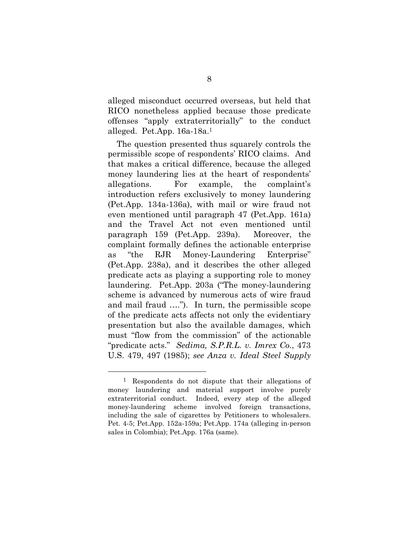alleged misconduct occurred overseas, but held that RICO nonetheless applied because those predicate offenses "apply extraterritorially" to the conduct alleged. Pet.App. 16a-18a.1

The question presented thus squarely controls the permissible scope of respondents' RICO claims. And that makes a critical difference, because the alleged money laundering lies at the heart of respondents' allegations. For example, the complaint's introduction refers exclusively to money laundering (Pet.App. 134a-136a), with mail or wire fraud not even mentioned until paragraph 47 (Pet.App. 161a) and the Travel Act not even mentioned until paragraph 159 (Pet.App. 239a). Moreover, the complaint formally defines the actionable enterprise as "the RJR Money-Laundering Enterprise" (Pet.App. 238a), and it describes the other alleged predicate acts as playing a supporting role to money laundering. Pet.App. 203a ("The money-laundering scheme is advanced by numerous acts of wire fraud and mail fraud …."). In turn, the permissible scope of the predicate acts affects not only the evidentiary presentation but also the available damages, which must "flow from the commission" of the actionable "predicate acts." *Sedima, S.P.R.L. v. Imrex Co.*, 473 U.S. 479, 497 (1985); *see Anza v. Ideal Steel Supply* 

 $\overline{a}$ 

<sup>1</sup> Respondents do not dispute that their allegations of money laundering and material support involve purely extraterritorial conduct. Indeed, every step of the alleged money-laundering scheme involved foreign transactions, including the sale of cigarettes by Petitioners to wholesalers. Pet. 4-5; Pet.App. 152a-159a; Pet.App. 174a (alleging in-person sales in Colombia); Pet.App. 176a (same).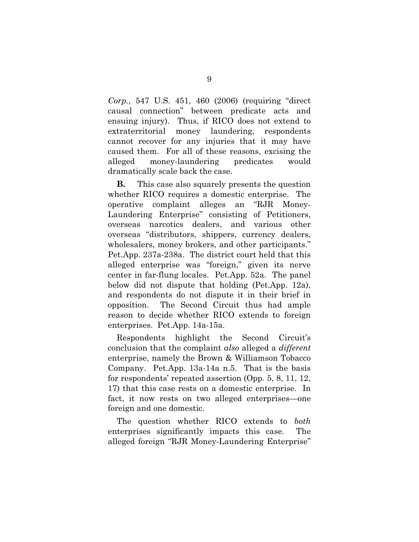*Corp.*, 547 U.S. 451, 460 (2006) (requiring "direct causal connection" between predicate acts and ensuing injury). Thus, if RICO does not extend to extraterritorial money laundering, respondents cannot recover for any injuries that it may have caused them. For all of these reasons, excising the alleged money-laundering predicates would dramatically scale back the case.

**B.** This case also squarely presents the question whether RICO requires a domestic enterprise. The operative complaint alleges an "RJR Money-Laundering Enterprise" consisting of Petitioners, overseas narcotics dealers, and various other overseas "distributors, shippers, currency dealers, wholesalers, money brokers, and other participants." Pet.App. 237a-238a. The district court held that this alleged enterprise was "foreign," given its nerve center in far-flung locales. Pet.App. 52a. The panel below did not dispute that holding (Pet.App. 12a), and respondents do not dispute it in their brief in opposition. The Second Circuit thus had ample reason to decide whether RICO extends to foreign enterprises. Pet.App. 14a-15a.

Respondents highlight the Second Circuit's conclusion that the complaint *also* alleged a *different* enterprise, namely the Brown & Williamson Tobacco Company. Pet.App. 13a-14a n.5. That is the basis for respondents' repeated assertion (Opp. 5, 8, 11, 12, 17) that this case rests on a domestic enterprise. In fact, it now rests on two alleged enterprises—one foreign and one domestic.

The question whether RICO extends to *both* enterprises significantly impacts this case. The alleged foreign "RJR Money-Laundering Enterprise"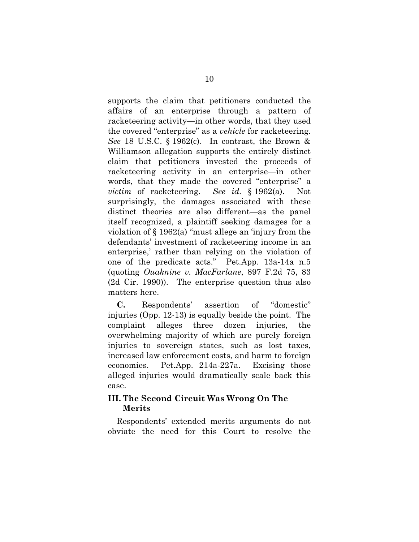supports the claim that petitioners conducted the affairs of an enterprise through a pattern of racketeering activity—in other words, that they used the covered "enterprise" as a *vehicle* for racketeering. *See* 18 U.S.C. § 1962(c). In contrast, the Brown & Williamson allegation supports the entirely distinct claim that petitioners invested the proceeds of racketeering activity in an enterprise—in other words, that they made the covered "enterprise" a *victim* of racketeering. *See id.* § 1962(a). Not surprisingly, the damages associated with these distinct theories are also different—as the panel itself recognized, a plaintiff seeking damages for a violation of § 1962(a) "must allege an 'injury from the defendants' investment of racketeering income in an enterprise,' rather than relying on the violation of one of the predicate acts." Pet.App. 13a-14a n.5 (quoting *Ouaknine v. MacFarlane*, 897 F.2d 75, 83 (2d Cir. 1990)). The enterprise question thus also matters here.

**C.** Respondents' assertion of "domestic" injuries (Opp. 12-13) is equally beside the point. The complaint alleges three dozen injuries, the overwhelming majority of which are purely foreign injuries to sovereign states, such as lost taxes, increased law enforcement costs, and harm to foreign economies. Pet.App. 214a-227a. Excising those alleged injuries would dramatically scale back this case.

### **III. The Second Circuit Was Wrong On The Merits**

Respondents' extended merits arguments do not obviate the need for this Court to resolve the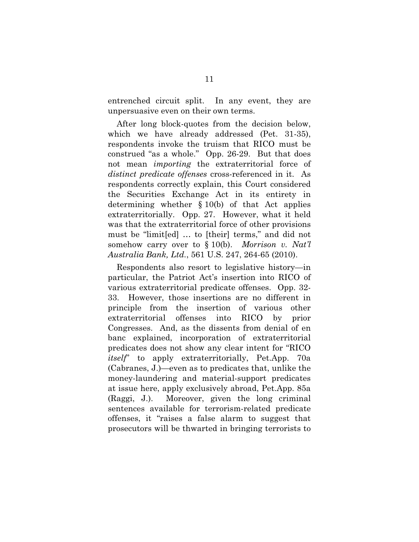entrenched circuit split. In any event, they are unpersuasive even on their own terms.

After long block-quotes from the decision below, which we have already addressed (Pet. 31-35), respondents invoke the truism that RICO must be construed "as a whole." Opp. 26-29. But that does not mean *importing* the extraterritorial force of *distinct predicate offenses* cross-referenced in it. As respondents correctly explain, this Court considered the Securities Exchange Act in its entirety in determining whether § 10(b) of that Act applies extraterritorially. Opp. 27. However, what it held was that the extraterritorial force of other provisions must be "limit[ed] … to [their] terms," and did not somehow carry over to § 10(b). *Morrison v. Nat'l Australia Bank, Ltd.*, 561 U.S. 247, 264-65 (2010).

Respondents also resort to legislative history—in particular, the Patriot Act's insertion into RICO of various extraterritorial predicate offenses. Opp. 32- 33. However, those insertions are no different in principle from the insertion of various other extraterritorial offenses into RICO by prior Congresses. And, as the dissents from denial of en banc explained, incorporation of extraterritorial predicates does not show any clear intent for "RICO *itself*" to apply extraterritorially, Pet.App. 70a (Cabranes, J.)—even as to predicates that, unlike the money-laundering and material-support predicates at issue here, apply exclusively abroad, Pet.App. 85a (Raggi, J.). Moreover, given the long criminal sentences available for terrorism-related predicate offenses, it "raises a false alarm to suggest that prosecutors will be thwarted in bringing terrorists to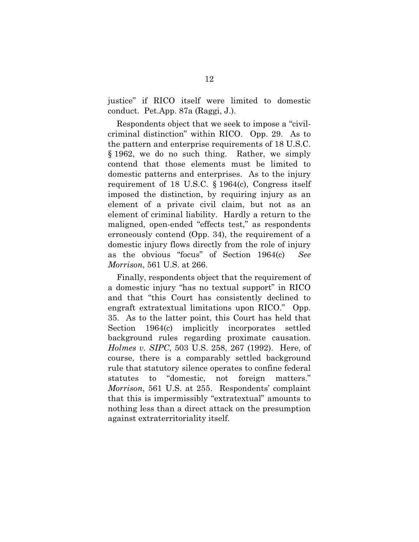justice" if RICO itself were limited to domestic conduct. Pet.App. 87a (Raggi, J.).

Respondents object that we seek to impose a "civilcriminal distinction" within RICO. Opp. 29. As to the pattern and enterprise requirements of 18 U.S.C. § 1962, we do no such thing. Rather, we simply contend that those elements must be limited to domestic patterns and enterprises. As to the injury requirement of 18 U.S.C. § 1964(c), Congress itself imposed the distinction, by requiring injury as an element of a private civil claim, but not as an element of criminal liability. Hardly a return to the maligned, open-ended "effects test," as respondents erroneously contend (Opp. 34), the requirement of a domestic injury flows directly from the role of injury as the obvious "focus" of Section 1964(c) *See Morrison*, 561 U.S. at 266.

Finally, respondents object that the requirement of a domestic injury "has no textual support" in RICO and that "this Court has consistently declined to engraft extratextual limitations upon RICO." Opp. 35. As to the latter point, this Court has held that Section 1964(c) implicitly incorporates settled background rules regarding proximate causation. *Holmes v. SIPC*, 503 U.S. 258, 267 (1992). Here, of course, there is a comparably settled background rule that statutory silence operates to confine federal statutes to "domestic, not foreign matters." *Morrison*, 561 U.S. at 255. Respondents' complaint that this is impermissibly "extratextual" amounts to nothing less than a direct attack on the presumption against extraterritoriality itself.